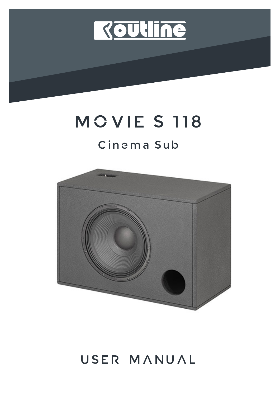

# MOVIES 118

### Cinema Sub



## USER MANUAL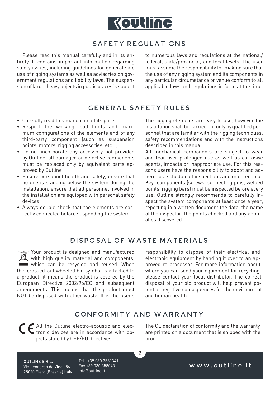

#### SAFETY REGULATIONS

Please read this manual carefully and in its entirety. It contains important information regarding safety issues, including guidelines for general safe use of rigging systems as well as advisories on government regulations and liability laws. The suspension of large, heavy objects in public places is subject to numerous laws and regulations at the national/ federal, state/provincial, and local levels. The user must assume the responsibility for making sure that the use of any rigging system and its components in any particular circumstance or venue conform to all applicable laws and regulations in force at the time.

#### GENERAL SAFETY RULES

- Carefully read this manual in all its parts
- Respect the working load limits and maximum configurations of the elements and of any third-party component (such as suspension points, motors, rigging accessories, etc...)
- Do not incorporate any accessory not provided by Outline; all damaged or defective components must be replaced only by equivalent parts approved by Outline
- Ensure personnel health and safety, ensure that no one is standing below the system during the installation, ensure that all personnel involved in the installation are equipped with personal safety devices
- Always double check that the elements are correctly connected before suspending the system.

The rigging elements are easy to use, however the installation shall be carried out only by qualified personnel that are familiar with the rigging techniques, safety recommendations and with the instructions described in this manual.

All mechanical components are subject to wear and tear over prolonged use as well as corrosive agents, impacts or inappropriate use. For this reasons users have the responsibility to adopt and adhere to a schedule of inspections and maintenance. Key components (screws, connecting pins, welded points, rigging bars) must be inspected before every use. Outline strongly recommends to carefully inspect the system components at least once a year, reporting in a written document the date, the name of the inspector, the points checked and any anomalies discovered.

#### DISPOSAL OF WASTE MATERIALS

Your product is designed and manufactured with high quality material and components, which can be recycled and reused. When this crossed-out wheeled bin symbol is attached to a product, it means the product is covered by the European Directive 2002/96/EC and subsequent amendments. This means that the product must NOT be disposed with other waste. It is the user's

responsibility to dispose of their electrical and electronic equipment by handing it over to an approved re-processor. For more information about where you can send your equipment for recycling, please contact your local distributor. The correct disposal of your old product will help prevent potential negative consequences for the environment and human health.

#### CONFORMITY AND WARRANTY

 $\overline{2}$ 

All the Outline electro-acoustic and electronic devices are in accordance with objects stated by CEE/EU directives.

The CE declaration of conformity and the warranty are printed on a document that is shipped with the product.

OUTLINE S.R.L. Via Leonardo da Vinci, 56 25020 Flero (Brescia) Italy Tel.: +39 030.3581341 Fax +39 030.3580431 info@outline.it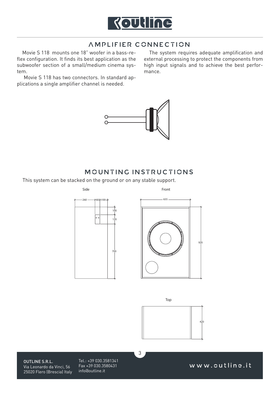

#### AMPLIFIER CONNECTION

Movie S 118 mounts one 18" woofer in a bass-reflex configuration. It finds its best application as the subwoofer section of a small/medium cinema system.

 Movie S 118 has two connectors. In standard applications a single amplifier channel is needed.

The system requires adequate amplification and external processing to protect the components from high input signals and to achieve the best performance.



#### MOUNTING INSTRUCTIONS

3

This system can be stacked on the ground or on any stable support.





Top



OUTLINE S.R.L. Via Leonardo da Vinci, 56 25020 Flero (Brescia) Italy Tel.: +39 030.3581341 Fax +39 030.3580431 info@outline.it

www.outline.it